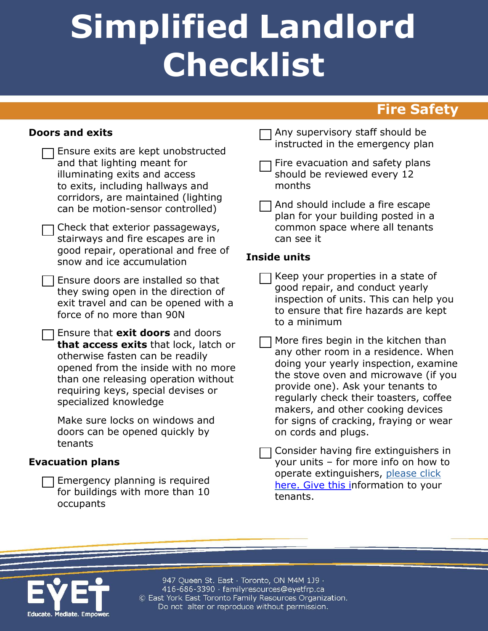# **Simplified Landlord Checklist**

## **Fire Safety**

#### **Doors and exits**

| Ensure exits are kept unobstructed<br>and that lighting meant for<br>illuminating exits and access<br>to exits, including hallways and<br>corridors, are maintained (lighting<br>can be motion-sensor controlled)                                                 |
|-------------------------------------------------------------------------------------------------------------------------------------------------------------------------------------------------------------------------------------------------------------------|
| Check that exterior passageways,<br>stairways and fire escapes are in<br>good repair, operational and free of<br>snow and ice accumulation                                                                                                                        |
| Ensure doors are installed so that<br>they swing open in the direction of<br>exit travel and can be opened with a<br>force of no more than 90N                                                                                                                    |
| Ensure that exit doors and doors<br><b>that access exits</b> that lock, latch or<br>otherwise fasten can be readily<br>opened from the inside with no more<br>than one releasing operation without<br>requiring keys, special devises or<br>specialized knowledge |
| Make sure locks on windows and                                                                                                                                                                                                                                    |

Make sure locks on windows and doors can be opened quickly by tenants

#### **Evacuation plans**

Emergency planning is required for buildings with more than 10 occupants

Any supervisory staff should be instructed in the emergency plan

Fire evacuation and safety plans should be reviewed every 12 months

And should include a fire escape plan for your building posted in a common space where all tenants can see it

#### **Inside units**

- Keep your properties in a state of good repair, and conduct yearly inspection of units. This can help you to ensure that fire hazards are kept to a minimum
- More fires begin in the kitchen than any other room in a residence. When doing your yearly inspection, examine the stove oven and microwave (if you provide one). Ask your tenants to regularly check their toasters, coffee makers, and other cooking devices for signs of cracking, fraying or wear on cords and plugs.
- Consider having fire extinguishers in your units – for more info on how to operate extinguishers, please click [here. Give this in](https://www.toronto.ca/community-people/public-safety-alerts/safety-tips-prevention/safety-equipment-devices/fire-extinguishers/)formation to your tenants.



947 Queen St. East · Toronto, ON M4M 1J9 · 416-686-3390 · familyresources@eyetfrp.ca © East York East Toronto Family Resources Organization. Do not alter or reproduce without permission.